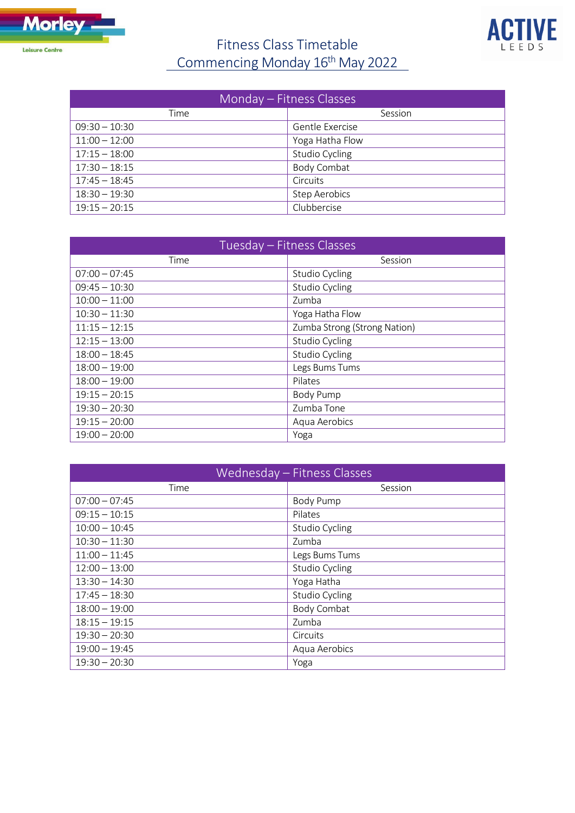

## Fitness Class Timetable Commencing Monday 16<sup>th</sup> May 2022



| Monday – Fitness Classes |                      |  |
|--------------------------|----------------------|--|
| Time                     | Session              |  |
| $09:30 - 10:30$          | Gentle Exercise      |  |
| $11:00 - 12:00$          | Yoga Hatha Flow      |  |
| $17:15 - 18:00$          | Studio Cycling       |  |
| $17:30 - 18:15$          | Body Combat          |  |
| $17:45 - 18:45$          | Circuits             |  |
| $18:30 - 19:30$          | <b>Step Aerobics</b> |  |
| $19:15 - 20:15$          | Clubbercise          |  |

| Tuesday - Fitness Classes |                              |
|---------------------------|------------------------------|
| Time                      | Session                      |
| $07:00 - 07:45$           | Studio Cycling               |
| $09:45 - 10:30$           | Studio Cycling               |
| $10:00 - 11:00$           | Zumba                        |
| $10:30 - 11:30$           | Yoga Hatha Flow              |
| $11:15 - 12:15$           | Zumba Strong (Strong Nation) |
| $12:15 - 13:00$           | Studio Cycling               |
| $18:00 - 18:45$           | Studio Cycling               |
| $18:00 - 19:00$           | Legs Bums Tums               |
| $18:00 - 19:00$           | Pilates                      |
| $19:15 - 20:15$           | <b>Body Pump</b>             |
| $19:30 - 20:30$           | Zumba Tone                   |
| $19:15 - 20:00$           | Aqua Aerobics                |
| $19:00 - 20:00$           | Yoga                         |

| Wednesday - Fitness Classes |                |
|-----------------------------|----------------|
| Time                        | Session        |
| $07:00 - 07:45$             | Body Pump      |
| $09:15 - 10:15$             | Pilates        |
| $10:00 - 10:45$             | Studio Cycling |
| $10:30 - 11:30$             | Zumba          |
| $11:00 - 11:45$             | Legs Bums Tums |
| $12:00 - 13:00$             | Studio Cycling |
| $13:30 - 14:30$             | Yoga Hatha     |
| $17:45 - 18:30$             | Studio Cycling |
| $18:00 - 19:00$             | Body Combat    |
| $18:15 - 19:15$             | Zumba          |
| $19:30 - 20:30$             | Circuits       |
| $19:00 - 19:45$             | Aqua Aerobics  |
| $19:30 - 20:30$             | Yoga           |